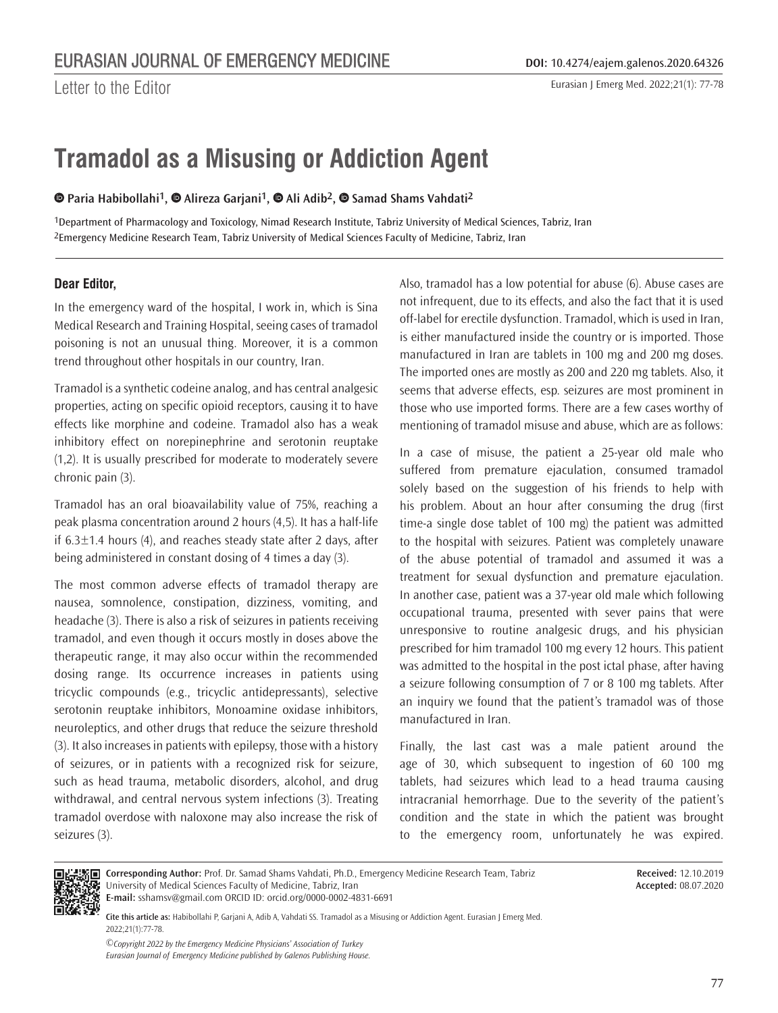Letter to the Editor

Eurasian J Emerg Med. 2022;21(1): 77-78

# **Tramadol as a Misusing or Addiction Agent**

**Paria Habibollahi1,Alireza Garjani1,Ali Adib2,Samad Shams Vahdati2**

1Department of Pharmacology and Toxicology, Nimad Research Institute, Tabriz University of Medical Sciences, Tabriz, Iran 2Emergency Medicine Research Team, Tabriz University of Medical Sciences Faculty of Medicine, Tabriz, Iran

## **Dear Editor,**

In the emergency ward of the hospital, I work in, which is Sina Medical Research and Training Hospital, seeing cases of tramadol poisoning is not an unusual thing. Moreover, it is a common trend throughout other hospitals in our country, Iran.

Tramadol is a synthetic codeine analog, and has central analgesic properties, acting on specific opioid receptors, causing it to have effects like morphine and codeine. Tramadol also has a weak inhibitory effect on norepinephrine and serotonin reuptake (1,2). It is usually prescribed for moderate to moderately severe chronic pain (3).

Tramadol has an oral bioavailability value of 75%, reaching a peak plasma concentration around 2 hours (4,5). It has a half-life if 6.3±1.4 hours (4), and reaches steady state after 2 days, after being administered in constant dosing of 4 times a day (3).

The most common adverse effects of tramadol therapy are nausea, somnolence, constipation, dizziness, vomiting, and headache (3). There is also a risk of seizures in patients receiving tramadol, and even though it occurs mostly in doses above the therapeutic range, it may also occur within the recommended dosing range. Its occurrence increases in patients using tricyclic compounds (e.g., tricyclic antidepressants), selective serotonin reuptake inhibitors, Monoamine oxidase inhibitors, neuroleptics, and other drugs that reduce the seizure threshold (3). It also increases in patients with epilepsy, those with a history of seizures, or in patients with a recognized risk for seizure, such as head trauma, metabolic disorders, alcohol, and drug withdrawal, and central nervous system infections (3). Treating tramadol overdose with naloxone may also increase the risk of seizures (3).

Also, tramadol has a low potential for abuse (6). Abuse cases are not infrequent, due to its effects, and also the fact that it is used off-label for erectile dysfunction. Tramadol, which is used in Iran, is either manufactured inside the country or is imported. Those manufactured in Iran are tablets in 100 mg and 200 mg doses. The imported ones are mostly as 200 and 220 mg tablets. Also, it seems that adverse effects, esp. seizures are most prominent in those who use imported forms. There are a few cases worthy of mentioning of tramadol misuse and abuse, which are as follows:

In a case of misuse, the patient a 25-year old male who suffered from premature ejaculation, consumed tramadol solely based on the suggestion of his friends to help with his problem. About an hour after consuming the drug (first time-a single dose tablet of 100 mg) the patient was admitted to the hospital with seizures. Patient was completely unaware of the abuse potential of tramadol and assumed it was a treatment for sexual dysfunction and premature ejaculation. In another case, patient was a 37-year old male which following occupational trauma, presented with sever pains that were unresponsive to routine analgesic drugs, and his physician prescribed for him tramadol 100 mg every 12 hours. This patient was admitted to the hospital in the post ictal phase, after having a seizure following consumption of 7 or 8 100 mg tablets. After an inquiry we found that the patient's tramadol was of those manufactured in Iran.

Finally, the last cast was a male patient around the age of 30, which subsequent to ingestion of 60 100 mg tablets, had seizures which lead to a head trauma causing intracranial hemorrhage. Due to the severity of the patient's condition and the state in which the patient was brought to the emergency room, unfortunately he was expired.



**Corresponding Author:** Prof. Dr. Samad Shams Vahdati, Ph.D., Emergency Medicine Research Team, Tabriz University of Medical Sciences Faculty of Medicine, Tabriz, Iran **E-mail:** sshamsv@gmail.com ORCID ID: orcid.org/0000-0002-4831-6691

**Received:** 12.10.2019 **Accepted:** 08.07.2020

**Cite this article as:** Habibollahi P, Garjani A, Adib A, Vahdati SS. Tramadol as a Misusing or Addiction Agent. Eurasian J Emerg Med. 2022;21(1):77-78.

*©Copyright 2022 by the Emergency Medicine Physicians' Association of Turkey Eurasian Journal of Emergency Medicine published by Galenos Publishing House.*